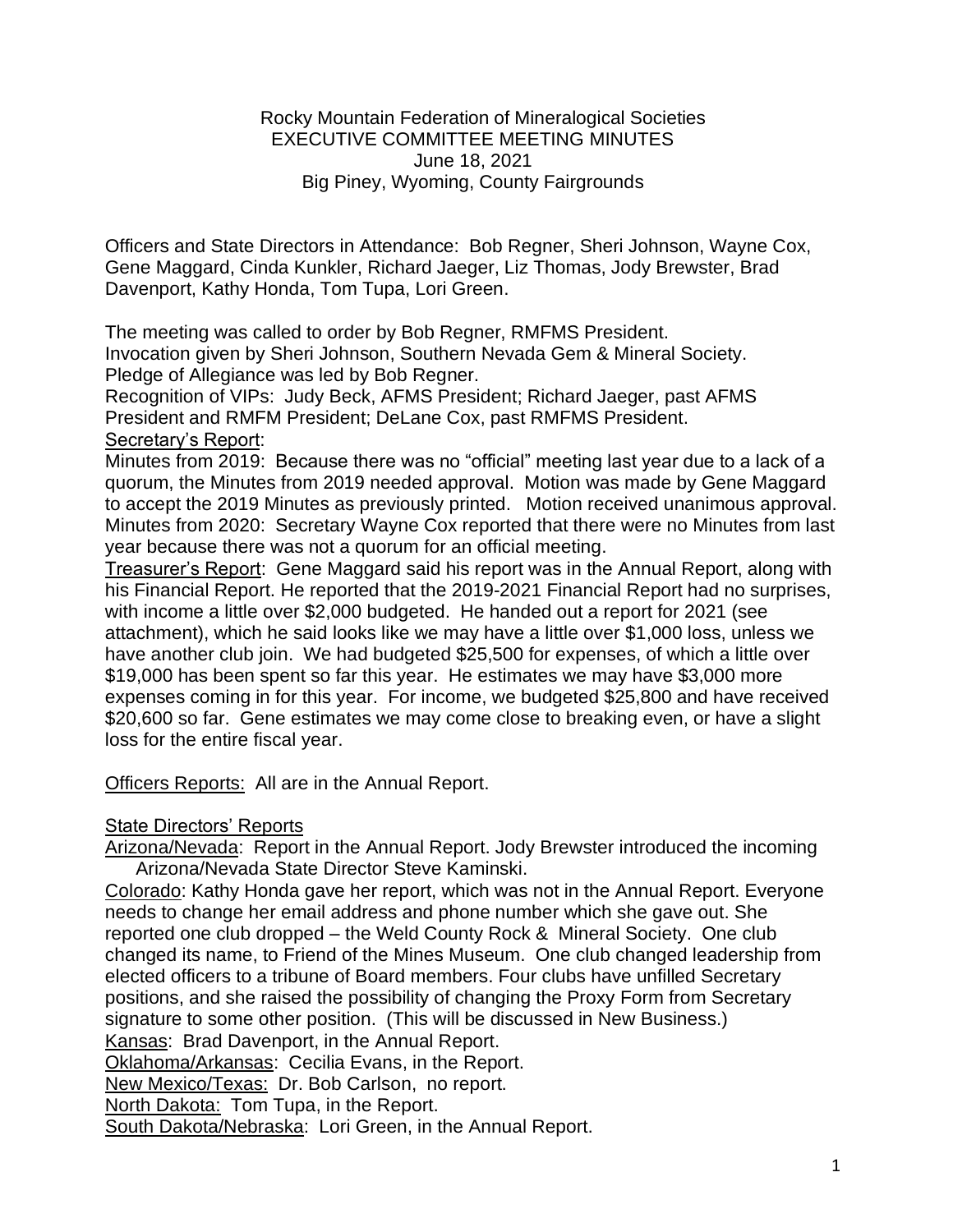## Rocky Mountain Federation of Mineralogical Societies EXECUTIVE COMMITTEE MEETING MINUTES June 18, 2021 Big Piney, Wyoming, County Fairgrounds

Officers and State Directors in Attendance: Bob Regner, Sheri Johnson, Wayne Cox, Gene Maggard, Cinda Kunkler, Richard Jaeger, Liz Thomas, Jody Brewster, Brad Davenport, Kathy Honda, Tom Tupa, Lori Green.

The meeting was called to order by Bob Regner, RMFMS President. Invocation given by Sheri Johnson, Southern Nevada Gem & Mineral Society. Pledge of Allegiance was led by Bob Regner.

Recognition of VIPs: Judy Beck, AFMS President; Richard Jaeger, past AFMS President and RMFM President; DeLane Cox, past RMFMS President. Secretary's Report:

Minutes from 2019: Because there was no "official" meeting last year due to a lack of a quorum, the Minutes from 2019 needed approval. Motion was made by Gene Maggard to accept the 2019 Minutes as previously printed. Motion received unanimous approval. Minutes from 2020: Secretary Wayne Cox reported that there were no Minutes from last year because there was not a quorum for an official meeting.

Treasurer's Report: Gene Maggard said his report was in the Annual Report, along with his Financial Report. He reported that the 2019-2021 Financial Report had no surprises, with income a little over \$2,000 budgeted. He handed out a report for 2021 (see attachment), which he said looks like we may have a little over \$1,000 loss, unless we have another club join. We had budgeted \$25,500 for expenses, of which a little over \$19,000 has been spent so far this year. He estimates we may have \$3,000 more expenses coming in for this year. For income, we budgeted \$25,800 and have received \$20,600 so far. Gene estimates we may come close to breaking even, or have a slight loss for the entire fiscal year.

**Officers Reports: All are in the Annual Report.** 

## State Directors' Reports

Arizona/Nevada: Report in the Annual Report. Jody Brewster introduced the incoming Arizona/Nevada State Director Steve Kaminski.

Colorado: Kathy Honda gave her report, which was not in the Annual Report. Everyone needs to change her email address and phone number which she gave out. She reported one club dropped – the Weld County Rock & Mineral Society. One club changed its name, to Friend of the Mines Museum. One club changed leadership from elected officers to a tribune of Board members. Four clubs have unfilled Secretary positions, and she raised the possibility of changing the Proxy Form from Secretary signature to some other position. (This will be discussed in New Business.)

Kansas: Brad Davenport, in the Annual Report.

Oklahoma/Arkansas: Cecilia Evans, in the Report.

New Mexico/Texas: Dr. Bob Carlson, no report.

North Dakota: Tom Tupa, in the Report.

South Dakota/Nebraska: Lori Green, in the Annual Report.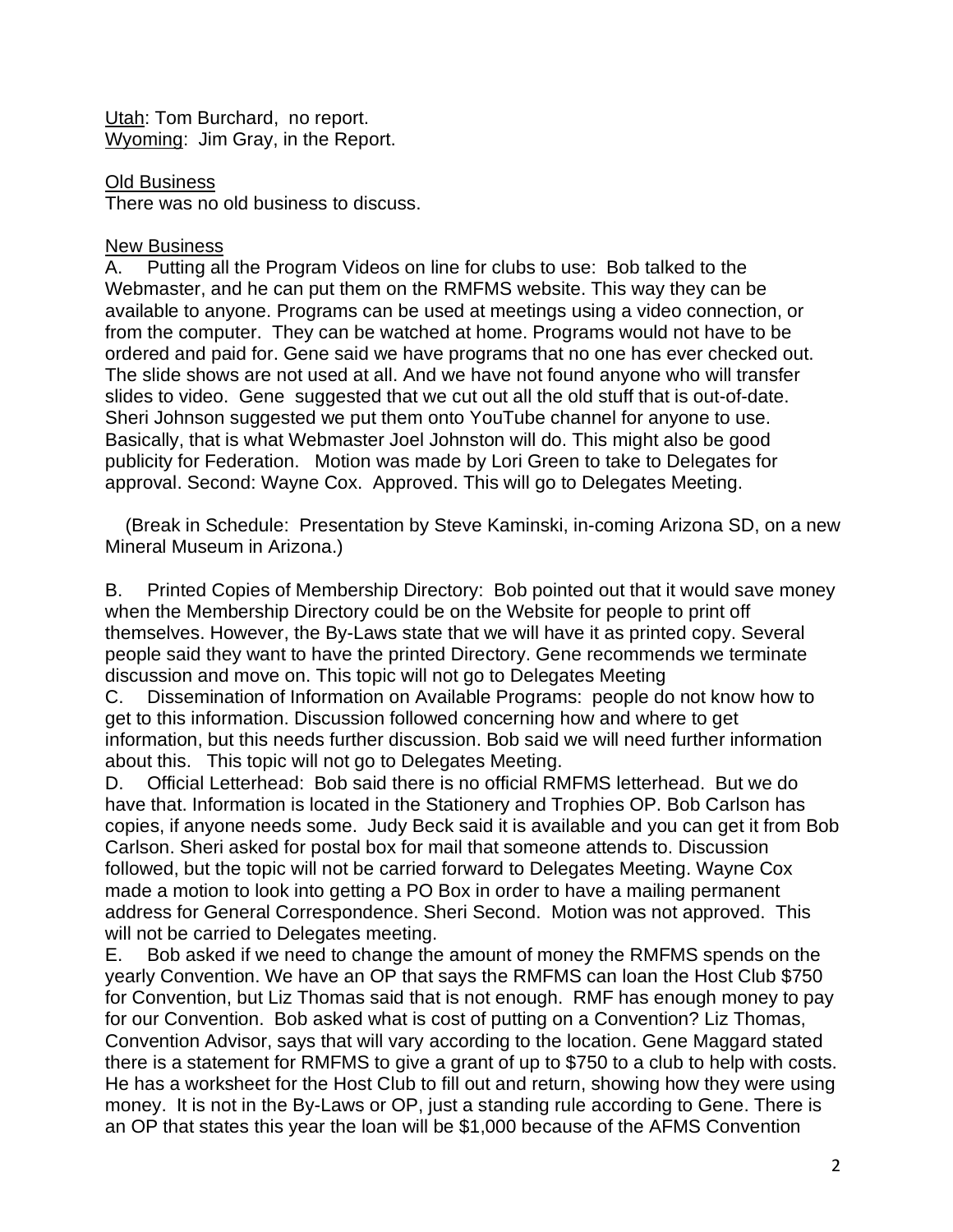Utah: Tom Burchard, no report. Wyoming: Jim Gray, in the Report.

Old Business There was no old business to discuss.

## New Business

A. Putting all the Program Videos on line for clubs to use: Bob talked to the Webmaster, and he can put them on the RMFMS website. This way they can be available to anyone. Programs can be used at meetings using a video connection, or from the computer. They can be watched at home. Programs would not have to be ordered and paid for. Gene said we have programs that no one has ever checked out. The slide shows are not used at all. And we have not found anyone who will transfer slides to video. Gene suggested that we cut out all the old stuff that is out-of-date. Sheri Johnson suggested we put them onto YouTube channel for anyone to use. Basically, that is what Webmaster Joel Johnston will do. This might also be good publicity for Federation. Motion was made by Lori Green to take to Delegates for approval. Second: Wayne Cox. Approved. This will go to Delegates Meeting.

 (Break in Schedule: Presentation by Steve Kaminski, in-coming Arizona SD, on a new Mineral Museum in Arizona.)

B. Printed Copies of Membership Directory: Bob pointed out that it would save money when the Membership Directory could be on the Website for people to print off themselves. However, the By-Laws state that we will have it as printed copy. Several people said they want to have the printed Directory. Gene recommends we terminate discussion and move on. This topic will not go to Delegates Meeting

C. Dissemination of Information on Available Programs: people do not know how to get to this information. Discussion followed concerning how and where to get information, but this needs further discussion. Bob said we will need further information about this. This topic will not go to Delegates Meeting.

D. Official Letterhead: Bob said there is no official RMFMS letterhead. But we do have that. Information is located in the Stationery and Trophies OP. Bob Carlson has copies, if anyone needs some. Judy Beck said it is available and you can get it from Bob Carlson. Sheri asked for postal box for mail that someone attends to. Discussion followed, but the topic will not be carried forward to Delegates Meeting. Wayne Cox made a motion to look into getting a PO Box in order to have a mailing permanent address for General Correspondence. Sheri Second. Motion was not approved. This will not be carried to Delegates meeting.

E. Bob asked if we need to change the amount of money the RMFMS spends on the yearly Convention. We have an OP that says the RMFMS can loan the Host Club \$750 for Convention, but Liz Thomas said that is not enough. RMF has enough money to pay for our Convention. Bob asked what is cost of putting on a Convention? Liz Thomas, Convention Advisor, says that will vary according to the location. Gene Maggard stated there is a statement for RMFMS to give a grant of up to \$750 to a club to help with costs. He has a worksheet for the Host Club to fill out and return, showing how they were using money. It is not in the By-Laws or OP, just a standing rule according to Gene. There is an OP that states this year the loan will be \$1,000 because of the AFMS Convention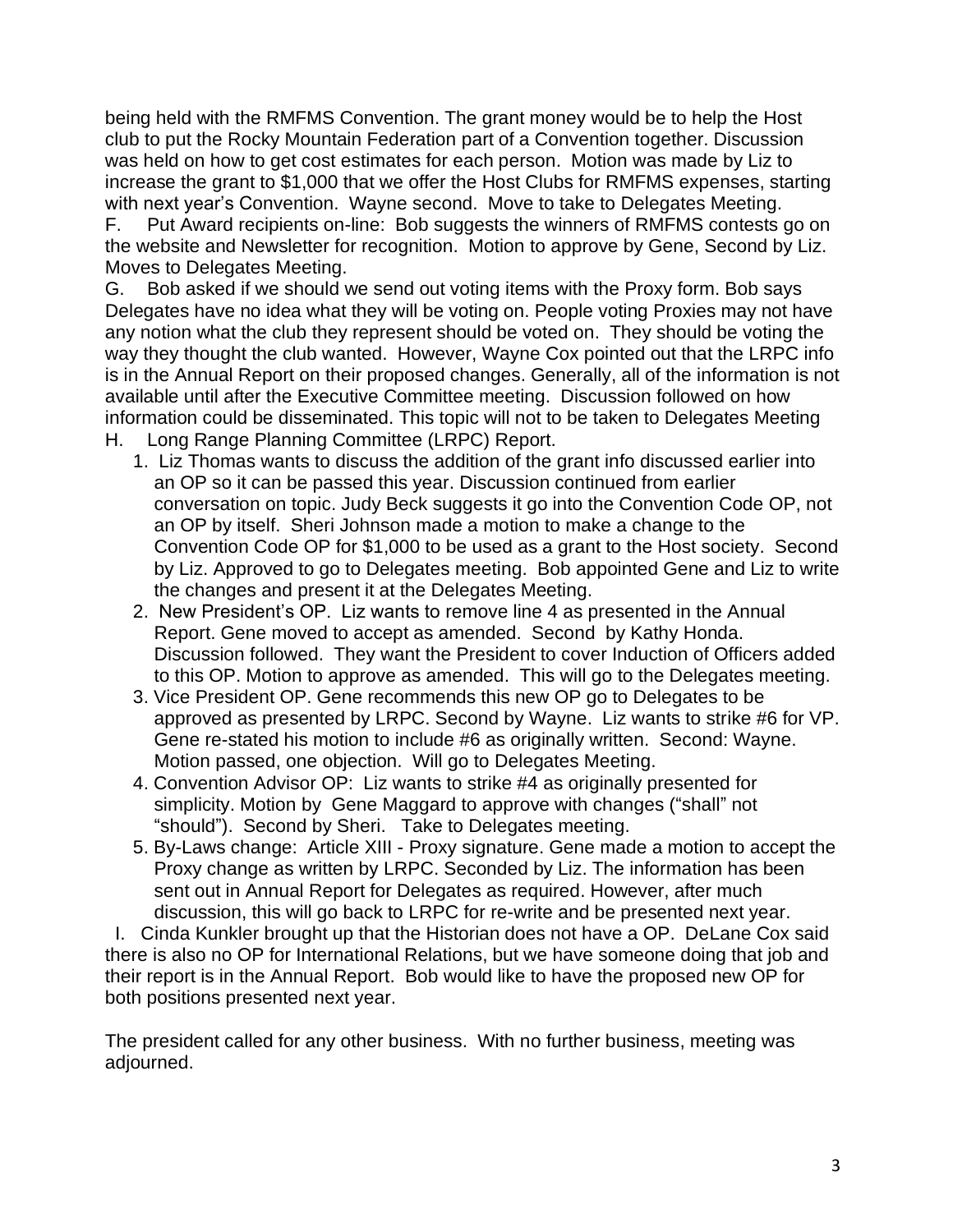being held with the RMFMS Convention. The grant money would be to help the Host club to put the Rocky Mountain Federation part of a Convention together. Discussion was held on how to get cost estimates for each person. Motion was made by Liz to increase the grant to \$1,000 that we offer the Host Clubs for RMFMS expenses, starting with next year's Convention. Wayne second. Move to take to Delegates Meeting. F. Put Award recipients on-line: Bob suggests the winners of RMFMS contests go on the website and Newsletter for recognition. Motion to approve by Gene, Second by Liz. Moves to Delegates Meeting.

G. Bob asked if we should we send out voting items with the Proxy form. Bob says Delegates have no idea what they will be voting on. People voting Proxies may not have any notion what the club they represent should be voted on. They should be voting the way they thought the club wanted. However, Wayne Cox pointed out that the LRPC info is in the Annual Report on their proposed changes. Generally, all of the information is not available until after the Executive Committee meeting. Discussion followed on how information could be disseminated. This topic will not to be taken to Delegates Meeting H. Long Range Planning Committee (LRPC) Report.

- 1. Liz Thomas wants to discuss the addition of the grant info discussed earlier into an OP so it can be passed this year. Discussion continued from earlier conversation on topic. Judy Beck suggests it go into the Convention Code OP, not an OP by itself. Sheri Johnson made a motion to make a change to the Convention Code OP for \$1,000 to be used as a grant to the Host society. Second by Liz. Approved to go to Delegates meeting. Bob appointed Gene and Liz to write
- the changes and present it at the Delegates Meeting. 2. New President's OP. Liz wants to remove line 4 as presented in the Annual Report. Gene moved to accept as amended. Second by Kathy Honda. Discussion followed. They want the President to cover Induction of Officers added to this OP. Motion to approve as amended. This will go to the Delegates meeting.
- 3. Vice President OP. Gene recommends this new OP go to Delegates to be approved as presented by LRPC. Second by Wayne. Liz wants to strike #6 for VP. Gene re-stated his motion to include #6 as originally written. Second: Wayne. Motion passed, one objection. Will go to Delegates Meeting.
- 4. Convention Advisor OP: Liz wants to strike #4 as originally presented for simplicity. Motion by Gene Maggard to approve with changes ("shall" not "should"). Second by Sheri. Take to Delegates meeting.
- 5. By-Laws change: Article XIII Proxy signature. Gene made a motion to accept the Proxy change as written by LRPC. Seconded by Liz. The information has been sent out in Annual Report for Delegates as required. However, after much discussion, this will go back to LRPC for re-write and be presented next year.

 I. Cinda Kunkler brought up that the Historian does not have a OP. DeLane Cox said there is also no OP for International Relations, but we have someone doing that job and their report is in the Annual Report. Bob would like to have the proposed new OP for both positions presented next year.

The president called for any other business. With no further business, meeting was adjourned.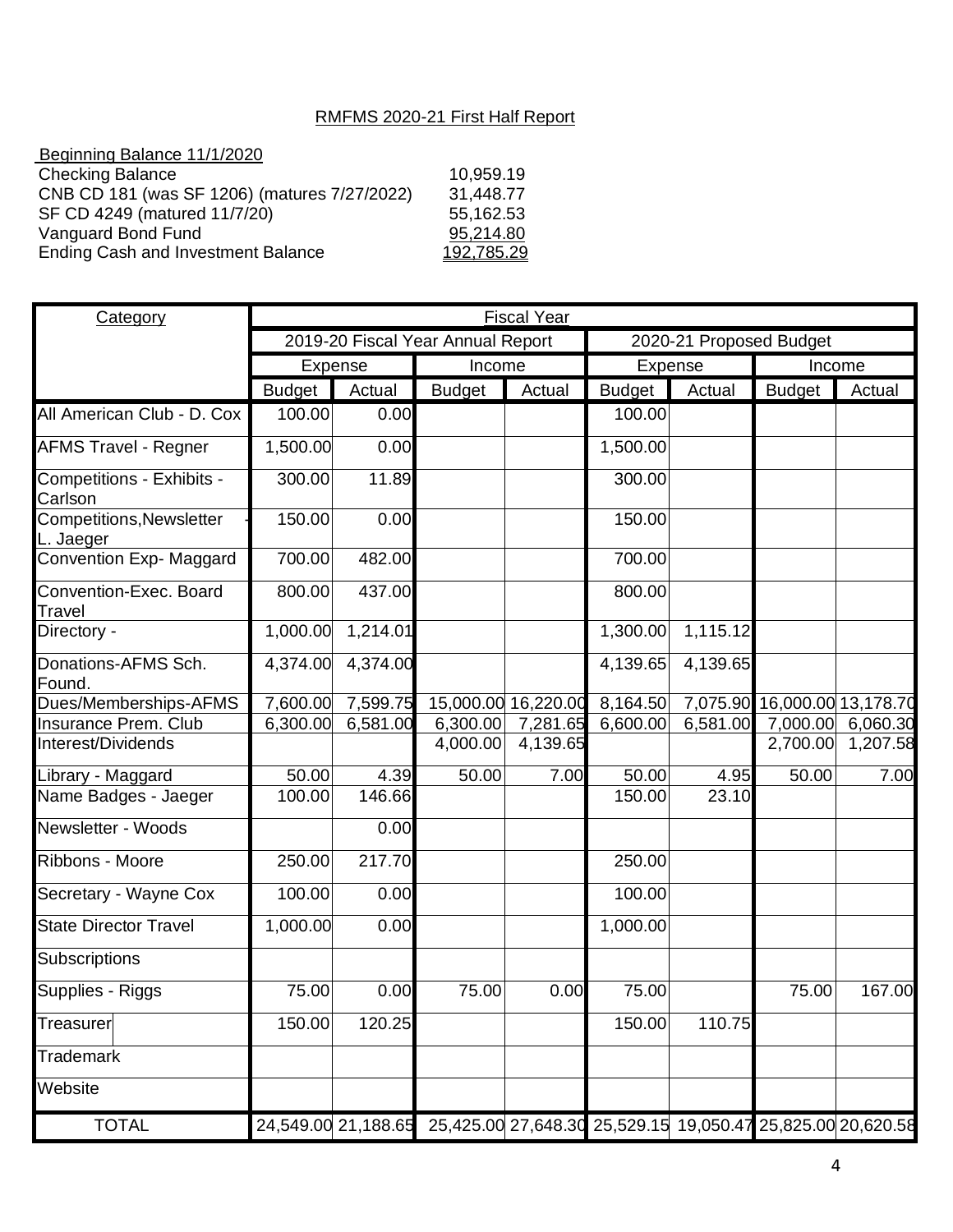## RMFMS 2020-21 First Half Report

| Beginning Balance 11/1/2020                  |            |
|----------------------------------------------|------------|
| <b>Checking Balance</b>                      | 10,959.19  |
| CNB CD 181 (was SF 1206) (matures 7/27/2022) | 31,448.77  |
| SF CD 4249 (matured 11/7/20)                 | 55,162.53  |
| Vanguard Bond Fund                           | 95,214.80  |
| <b>Ending Cash and Investment Balance</b>    | 192,785.29 |
|                                              |            |

| <b>Category</b>                              | <b>Fiscal Year</b>                |          |                                                                                 |                     |                         |          |                              |          |
|----------------------------------------------|-----------------------------------|----------|---------------------------------------------------------------------------------|---------------------|-------------------------|----------|------------------------------|----------|
|                                              | 2019-20 Fiscal Year Annual Report |          |                                                                                 |                     | 2020-21 Proposed Budget |          |                              |          |
|                                              | <b>Expense</b>                    |          | Income                                                                          |                     | Expense                 |          | Income                       |          |
|                                              | <b>Budget</b>                     | Actual   | <b>Budget</b>                                                                   | Actual              | <b>Budget</b>           | Actual   | <b>Budget</b>                | Actual   |
| All American Club - D. Cox                   | 100.00                            | 0.00     |                                                                                 |                     | 100.00                  |          |                              |          |
| <b>AFMS Travel - Regner</b>                  | 1,500.00                          | 0.00     |                                                                                 |                     | 1,500.00                |          |                              |          |
| Competitions - Exhibits -<br>Carlson         | 300.00                            | 11.89    |                                                                                 |                     | 300.00                  |          |                              |          |
| <b>Competitions, Newsletter</b><br>L. Jaeger | 150.00                            | 0.00     |                                                                                 |                     | 150.00                  |          |                              |          |
| Convention Exp- Maggard                      | 700.00                            | 482.00   |                                                                                 |                     | 700.00                  |          |                              |          |
| Convention-Exec. Board<br>Travel             | 800.00                            | 437.00   |                                                                                 |                     | 800.00                  |          |                              |          |
| Directory -                                  | 1,000.00                          | 1,214.01 |                                                                                 |                     | 1,300.00                | 1,115.12 |                              |          |
| Donations-AFMS Sch.<br>Found.                | 4,374.00                          | 4,374.00 |                                                                                 |                     | 4,139.65                | 4,139.65 |                              |          |
| Dues/Memberships-AFMS                        | 7,600.00                          | 7,599.75 |                                                                                 | 15,000.00 16,220.00 | 8,164.50                |          | 7,075.90 16,000.00 13,178.70 |          |
| <b>Insurance Prem. Club</b>                  | 6,300.00                          | 6,581.00 | 6,300.00                                                                        | 7,281.65            | 6,600.00                | 6,581.00 | 7,000.00                     | 6,060.30 |
| Interest/Dividends                           |                                   |          | 4,000.00                                                                        | 4,139.65            |                         |          | 2,700.00                     | 1,207.58 |
| Library - Maggard                            | 50.00                             | 4.39     | 50.00                                                                           | 7.00                | 50.00                   | 4.95     | 50.00                        | 7.00     |
| Name Badges - Jaeger                         | 100.00                            | 146.66   |                                                                                 |                     | 150.00                  | 23.10    |                              |          |
| Newsletter - Woods                           |                                   | 0.00     |                                                                                 |                     |                         |          |                              |          |
| Ribbons - Moore                              | 250.00                            | 217.70   |                                                                                 |                     | 250.00                  |          |                              |          |
| Secretary - Wayne Cox                        | 100.00                            | 0.00     |                                                                                 |                     | 100.00                  |          |                              |          |
| <b>State Director Travel</b>                 | 1,000.00                          | 0.00     |                                                                                 |                     | 1,000.00                |          |                              |          |
| Subscriptions                                |                                   |          |                                                                                 |                     |                         |          |                              |          |
| Supplies - Riggs                             | 75.00                             | 0.00     | 75.00                                                                           | 0.00                | 75.00                   |          | 75.00                        | 167.00   |
| Treasurer                                    | 150.00                            | 120.25   |                                                                                 |                     | 150.00                  | 110.75   |                              |          |
| <b>Trademark</b>                             |                                   |          |                                                                                 |                     |                         |          |                              |          |
| Website                                      |                                   |          |                                                                                 |                     |                         |          |                              |          |
| <b>TOTAL</b>                                 |                                   |          | 24,549.00 21,188.65 25,425.00 27,648.30 25,529.15 19,050.47 25,825.00 20,620.58 |                     |                         |          |                              |          |